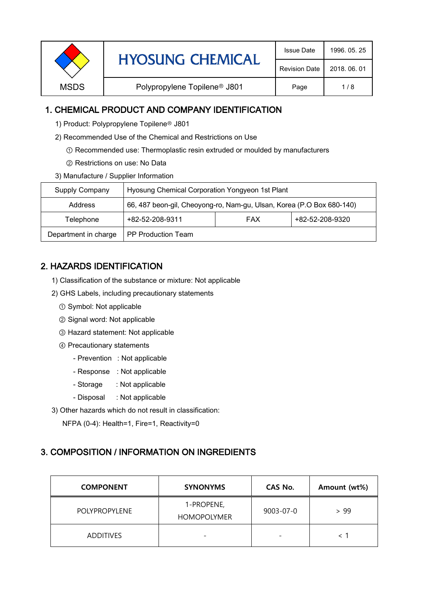|             | <b>HYOSUNG CHEMICAL</b>                  | <b>Issue Date</b>    | 1996, 05, 25 |
|-------------|------------------------------------------|----------------------|--------------|
|             |                                          | <b>Revision Date</b> | 2018, 06, 01 |
| <b>MSDS</b> | Polypropylene Topilene <sup>®</sup> J801 | Page                 | 1/8          |

### 1. CHEMICAL PRODUCT AND COMPANY IDENTIFICATION

1) Product: Polypropylene Topilene<sup>®</sup> J801

- 2) Recommended Use of the Chemical and Restrictions on Use
	- ① Recommended use: Thermoplastic resin extruded or moulded by manufacturers
	- ② Restrictions on use: No Data
- 3) Manufacture / Supplier Information

| Supply Company       | Hyosung Chemical Corporation Yongyeon 1st Plant                       |  |  |  |
|----------------------|-----------------------------------------------------------------------|--|--|--|
| Address              | 66, 487 beon-gil, Cheoyong-ro, Nam-gu, Ulsan, Korea (P.O Box 680-140) |  |  |  |
| Telephone            | +82-52-208-9320<br>+82-52-208-9311<br><b>FAX</b>                      |  |  |  |
| Department in charge | <b>PP Production Team</b>                                             |  |  |  |

# 2. HAZARDS IDENTIFICATION

- 1) Classification of the substance or mixture: Not applicable
- 2) GHS Labels, including precautionary statements
	- ① Symbol: Not applicable
	- ② Signal word: Not applicable
	- ③ Hazard statement: Not applicable
	- ④ Precautionary statements
		- Prevention : Not applicable
		- Response : Not applicable
		- Storage : Not applicable
		- Disposal : Not applicable
- 3) Other hazards which do not result in classification:

NFPA (0-4): Health=1, Fire=1, Reactivity=0

# 3. COMPOSITION / INFORMATION ON INGREDIENTS

| <b>COMPONENT</b>     | <b>SYNONYMS</b>                  | CAS No.   | Amount (wt%) |
|----------------------|----------------------------------|-----------|--------------|
| <b>POLYPROPYLENE</b> | 1-PROPENE,<br><b>HOMOPOLYMER</b> | 9003-07-0 | > 99         |
| <b>ADDITIVES</b>     | -                                |           |              |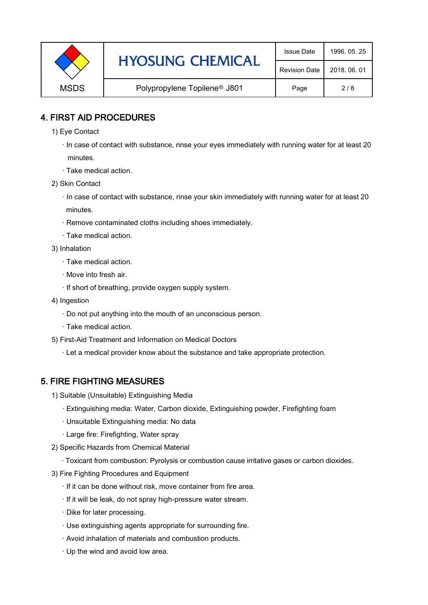| <b>HYOSUNG CHEMICAL</b> | <b>Issue Date</b>                        | 1996, 05, 25 |     |
|-------------------------|------------------------------------------|--------------|-----|
|                         | <b>Revision Date</b>                     | 2018, 06, 01 |     |
| <b>MSDS</b>             | Polypropylene Topilene <sup>®</sup> J801 | Page         | 2/8 |

### 4. FIRST AID PROCEDURES

- 1) Eye Contact
	- · In case of contact with substance, rinse your eyes immediately with running water for at least 20 minutes.
	- · Take medical action.
- 2) Skin Contact
	- · In case of contact with substance, rinse your skin immediately with running water for at least 20 minutes.
	- · Remove contaminated cloths including shoes immediately.
	- · Take medical action.
- 3) Inhalation
	- · Take medical action.
	- · Move into fresh air.
	- · If short of breathing, provide oxygen supply system.
- 4) Ingestion
	- · Do not put anything into the mouth of an unconscious person.
	- · Take medical action.
- 5) First-Aid Treatment and Information on Medical Doctors
	- · Let a medical provider know about the substance and take appropriate protection.

# 5. FIRE FIGHTING MEASURES

- 1) Suitable (Unsuitable) Extinguishing Media
	- · Extinguishing media: Water, Carbon dioxide, Extinguishing powder, Firefighting foam
	- · Unsuitable Extinguishing media: No data
	- · Large fire: Firefighting, Water spray
- 2) Specific Hazards from Chemical Material
	- · Toxicant from combustion: Pyrolysis or combustion cause irritative gases or carbon dioxides.
- 3) Fire Fighting Procedures and Equipment
	- · If it can be done without risk, move container from fire area.
	- · If it will be leak, do not spray high-pressure water stream.
	- · Dike for later processing.
	- · Use extinguishing agents appropriate for surrounding fire.
	- · Avoid inhalation of materials and combustion products.
	- · Up the wind and avoid low area.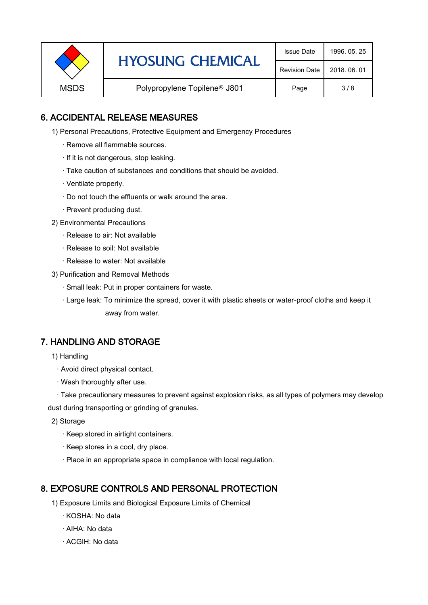|             | <b>HYOSUNG CHEMICAL</b>                  | <b>Issue Date</b> | 1996, 05, 25 |
|-------------|------------------------------------------|-------------------|--------------|
|             | <b>Revision Date</b>                     | 2018, 06, 01      |              |
| <b>MSDS</b> | Polypropylene Topilene <sup>®</sup> J801 | Page              | 3/8          |

### 6. ACCIDENTAL RELEASE MEASURES

- 1) Personal Precautions, Protective Equipment and Emergency Procedures
	- · Remove all flammable sources.
	- · If it is not dangerous, stop leaking.
	- · Take caution of substances and conditions that should be avoided.
	- · Ventilate properly.
	- · Do not touch the effluents or walk around the area.
	- · Prevent producing dust.
- 2) Environmental Precautions
	- · Release to air: Not available
	- · Release to soil: Not available
	- · Release to water: Not available
- 3) Purification and Removal Methods
	- · Small leak: Put in proper containers for waste.
	- ,· Large leak: To minimize the spread, cover it with plastic sheets or water-proof cloths and keep it away from water.

#### 7. HANDLING AND STORAGE

- 1) Handling
	- · Avoid direct physical contact.
	- · Wash thoroughly after use.

· Take precautionary measures to prevent against explosion risks, as all types of polymers may develop dust during transporting or grinding of granules.

- 2) Storage
	- · Keep stored in airtight containers.
	- · Keep stores in a cool, dry place.
	- · Place in an appropriate space in compliance with local regulation.

#### 8. EXPOSURE CONTROLS AND PERSONAL PROTECTION

- 1) Exposure Limits and Biological Exposure Limits of Chemical
	- · KOSHA: No data
	- · AIHA: No data
	- · ACGIH: No data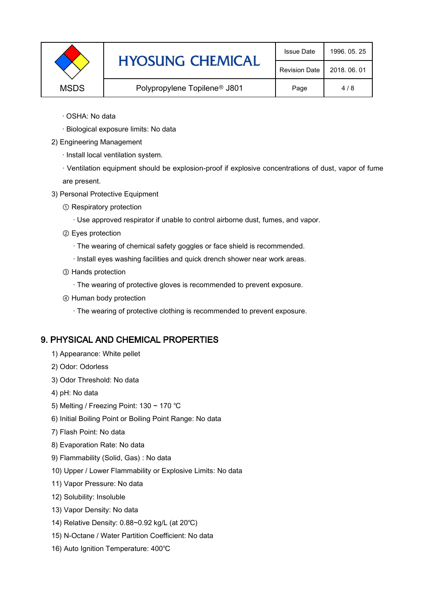|             | <b>HYOSUNG CHEMICAL</b>                  | <b>Issue Date</b>    | 1996, 05, 25 |
|-------------|------------------------------------------|----------------------|--------------|
|             |                                          | <b>Revision Date</b> | 2018, 06, 01 |
| <b>MSDS</b> | Polypropylene Topilene <sup>®</sup> J801 | Page                 | 4/8          |

- · OSHA: No data
- · Biological exposure limits: No data
- 2) Engineering Management
	- · Install local ventilation system.

· Ventilation equipment should be explosion-proof if explosive concentrations of dust, vapor of fume are present.

- 3) Personal Protective Equipment
	- ① Respiratory protection
		- · Use approved respirator if unable to control airborne dust, fumes, and vapor.
	- ② Eyes protection
		- · The wearing of chemical safety goggles or face shield is recommended.
		- · Install eyes washing facilities and quick drench shower near work areas.
	- ③ Hands protection
		- · The wearing of protective gloves is recommended to prevent exposure.
	- ④ Human body protection
		- · The wearing of protective clothing is recommended to prevent exposure.

#### 9. PHYSICAL AND CHEMICAL PROPERTIES

- 1) Appearance: White pellet
- 2) Odor: Odorless
- 3) Odor Threshold: No data
- 4) pH: No data
- 5) Melting / Freezing Point: 130 ~ 170 ℃
- 6) Initial Boiling Point or Boiling Point Range: No data
- 7) Flash Point: No data
- 8) Evaporation Rate: No data
- 9) Flammability (Solid, Gas) : No data
- 10) Upper / Lower Flammability or Explosive Limits: No data
- 11) Vapor Pressure: No data
- 12) Solubility: Insoluble
- 13) Vapor Density: No data
- 14) Relative Density: 0.88~0.92 kg/L (at 20℃)
- 15) N-Octane / Water Partition Coefficient: No data
- 16) Auto Ignition Temperature: 400℃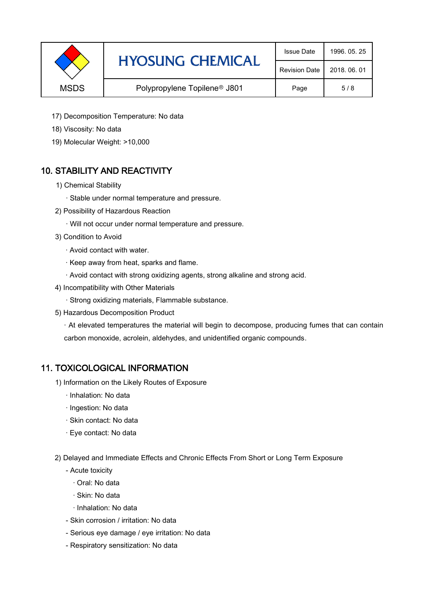|             | <b>HYOSUNG CHEMICAL</b>                  | <b>Issue Date</b> | 1996, 05, 25 |
|-------------|------------------------------------------|-------------------|--------------|
|             | <b>Revision Date</b>                     | 2018, 06, 01      |              |
| <b>MSDS</b> | Polypropylene Topilene <sup>®</sup> J801 | Page              | 5/8          |

- 17) Decomposition Temperature: No data
- 18) Viscosity: No data
- 19) Molecular Weight: >10,000

# 10. STABILITY AND REACTIVITY

- 1) Chemical Stability
	- · Stable under normal temperature and pressure.
- 2) Possibility of Hazardous Reaction
	- · Will not occur under normal temperature and pressure.
- 3) Condition to Avoid
	- · Avoid contact with water.
	- · Keep away from heat, sparks and flame.
	- · Avoid contact with strong oxidizing agents, strong alkaline and strong acid.
- 4) Incompatibility with Other Materials
	- · Strong oxidizing materials, Flammable substance.
- 5) Hazardous Decomposition Product

· At elevated temperatures the material will begin to decompose, producing fumes that can contain carbon monoxide, acrolein, aldehydes, and unidentified organic compounds.

#### 11. TOXICOLOGICAL INFORMATION

- 1) Information on the Likely Routes of Exposure
	- · Inhalation: No data
	- · Ingestion: No data
	- · Skin contact: No data
	- · Eye contact: No data
- 2) Delayed and Immediate Effects and Chronic Effects From Short or Long Term Exposure
	- Acute toxicity
		- · Oral: No data
		- · Skin: No data
		- · Inhalation: No data
	- Skin corrosion / irritation: No data
	- Serious eye damage / eye irritation: No data
	- Respiratory sensitization: No data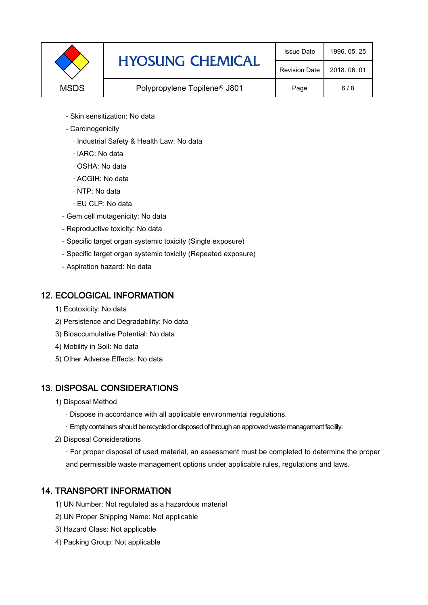|             | <b>HYOSUNG CHEMICAL</b>                  | <b>Issue Date</b>    | 1996.05.25   |
|-------------|------------------------------------------|----------------------|--------------|
|             |                                          | <b>Revision Date</b> | 2018, 06, 01 |
| <b>MSDS</b> | Polypropylene Topilene <sup>®</sup> J801 | Page                 | 6/8          |

- Skin sensitization: No data
- Carcinogenicity
	- · Industrial Safety & Health Law: No data
	- · IARC: No data
	- · OSHA: No data
	- · ACGIH: No data
	- · NTP: No data
	- · EU CLP: No data
- Gem cell mutagenicity: No data
- Reproductive toxicity: No data
- Specific target organ systemic toxicity (Single exposure)
- Specific target organ systemic toxicity (Repeated exposure)
- Aspiration hazard: No data

#### 12. ECOLOGICAL INFORMATION

- 1) Ecotoxicity: No data
- 2) Persistence and Degradability: No data
- 3) Bioaccumulative Potential: No data
- 4) Mobility in Soil: No data
- 5) Other Adverse Effects: No data

#### 13. DISPOSAL CONSIDERATIONS

- 1) Disposal Method
	- · Dispose in accordance with all applicable environmental regulations.
	- · Empty containers should be recycled or disposed of through an approved waste management facility.
- 2) Disposal Considerations
	- · For proper disposal of used material, an assessment must be completed to determine the proper and permissible waste management options under applicable rules, regulations and laws.

# 14. TRANSPORT INFORMATION

- 1) UN Number: Not regulated as a hazardous material
- 2) UN Proper Shipping Name: Not applicable
- 3) Hazard Class: Not applicable
- 4) Packing Group: Not applicable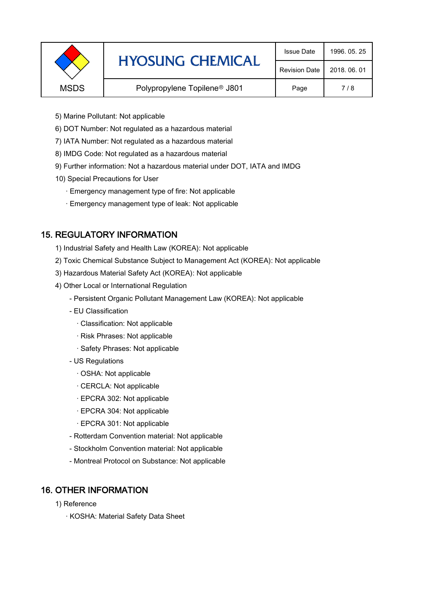| <b>HYOSUNG CHEMICAL</b> | <b>Issue Date</b>                        | 1996, 05, 25         |              |
|-------------------------|------------------------------------------|----------------------|--------------|
|                         |                                          | <b>Revision Date</b> | 2018, 06, 01 |
| <b>MSDS</b>             | Polypropylene Topilene <sup>®</sup> J801 | Page                 | 7/8          |
|                         |                                          |                      |              |

- 5) Marine Pollutant: Not applicable
- 6) DOT Number: Not regulated as a hazardous material
- 7) IATA Number: Not regulated as a hazardous material
- 8) IMDG Code: Not regulated as a hazardous material
- 9) Further information: Not a hazardous material under DOT, IATA and IMDG
- 10) Special Precautions for User
	- · Emergency management type of fire: Not applicable
	- · Emergency management type of leak: Not applicable

#### 15. REGULATORY INFORMATION

- 1) Industrial Safety and Health Law (KOREA): Not applicable
- 2) Toxic Chemical Substance Subject to Management Act (KOREA): Not applicable
- 3) Hazardous Material Safety Act (KOREA): Not applicable
- 4) Other Local or International Regulation
	- Persistent Organic Pollutant Management Law (KOREA): Not applicable
	- EU Classification
		- · Classification: Not applicable
		- · Risk Phrases: Not applicable
		- · Safety Phrases: Not applicable
	- US Regulations
		- · OSHA: Not applicable
		- · CERCLA: Not applicable
		- · EPCRA 302: Not applicable
		- · EPCRA 304: Not applicable
		- · EPCRA 301: Not applicable
	- Rotterdam Convention material: Not applicable
	- Stockholm Convention material: Not applicable
	- Montreal Protocol on Substance: Not applicable

#### 16. OTHER INFORMATION

- 1) Reference
	- · KOSHA: Material Safety Data Sheet